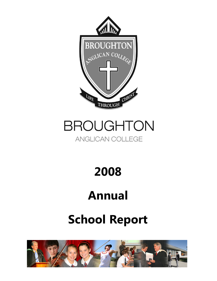

# **BROUGHTON**

### ANGLICAN COLLEGE

2008

## Annual

## School Report

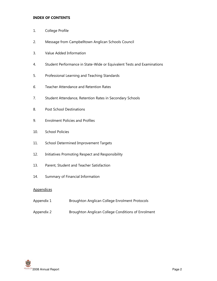#### INDEX OF CONTENTS

- 1. College Profile
- 2. Message from Campbelltown Anglican Schools Council
- 3. Value Added Information
- 4. Student Performance in State-Wide or Equivalent Tests and Examinations
- 5. Professional Learning and Teaching Standards
- 6. Teacher Attendance and Retention Rates
- 7. Student Attendance, Retention Rates in Secondary Schools
- 8. Post School Destinations
- 9. Enrolment Policies and Profiles
- 10. School Policies
- 11. School Determined Improvement Targets
- 12. Initiatives Promoting Respect and Responsibility
- 13. Parent, Student and Teacher Satisfaction
- 14. Summary of Financial Information

#### **Appendices**

- Appendix 1 Broughton Anglican College Enrolment Protocols
- Appendix 2 Broughton Anglican College Conditions of Enrolment

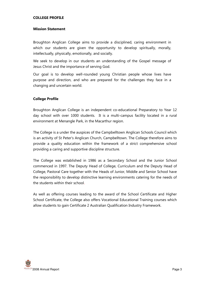#### COLLEGE PROFILE

#### Mission Statement

Broughton Anglican College aims to provide a disciplined, caring environment in which our students are given the opportunity to develop spiritually, morally, intellectually, physically, emotionally, and socially.

We seek to develop in our students an understanding of the Gospel message of Jesus Christ and the importance of serving God.

Our goal is to develop well-rounded young Christian people whose lives have purpose and direction, and who are prepared for the challenges they face in a changing and uncertain world.

#### College Profile

Broughton Anglican College is an independent co-educational Preparatory to Year 12 day school with over 1000 students. It is a multi-campus facility located in a rural environment at Menangle Park, in the Macarthur region.

The College is a under the auspices of the Campbelltown Anglican Schools Council which is an activity of St Peter's Anglican Church, Campbelltown. The College therefore aims to provide a quality education within the framework of a strict comprehensive school providing a caring and supportive discipline structure.

The College was established in 1986 as a Secondary School and the Junior School commenced in 1997. The Deputy Head of College, Curriculum and the Deputy Head of College, Pastoral Care together with the Heads of Junior, Middle and Senior School have the responsibility to develop distinctive learning environments catering for the needs of the students within their school.

As well as offering courses leading to the award of the School Certificate and Higher School Certificate, the College also offers Vocational Educational Training courses which allow students to gain Certificate 2 Australian Qualification Industry Framework.

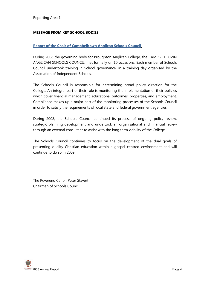#### MESSAGE FROM KEY SCHOOL BODIES

#### Report of the Chair of Campbelltown Anglican Schools Council.

During 2008 the governing body for Broughton Anglican College, the CAMPBELLTOWN ANGLICAN SCHOOLS COUNCIL, met formally on 10 occasions. Each member of Schools Council undertook training in School governance, in a training day organised by the Association of Independent Schools.

The Schools Council is responsible for determining broad policy direction for the College. An integral part of their role is monitoring the implementation of their policies which cover financial management, educational outcomes, properties, and employment. Compliance makes up a major part of the monitoring processes of the Schools Council in order to satisfy the requirements of local state and federal government agencies.

During 2008, the Schools Council continued its process of ongoing policy review, strategic planning development and undertook an organisational and financial review through an external consultant to assist with the long term viability of the College.

The Schools Council continues to focus on the development of the dual goals of presenting quality Christian education within a gospel centred environment and will continue to do so in 2009.

The Reverend Canon Peter Stavert Chairman of Schools Council

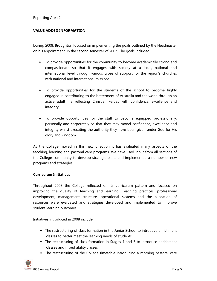#### VALUE ADDED INFORMATION

During 2008, Broughton focused on implementing the goals outlined by the Headmaster on his appointment in the second semester of 2007. The goals included:

- To provide opportunities for the community to become academically strong and compassionate so that it engages with society at a local, national and international level through various types of support for the region's churches with national and international missions.
- To provide opportunities for the students of the school to become highly engaged in contributing to the betterment of Australia and the world through an active adult life reflecting Christian values with confidence, excellence and integrity.
- To provide opportunities for the staff to become equipped professionally, personally and corporately so that they may model confidence, excellence and integrity whilst executing the authority they have been given under God for His glory and kingdom.

As the College moved in this new direction it has evaluated many aspects of the teaching, learning and pastoral care programs. We have used input from all sections of the College community to develop strategic plans and implemented a number of new programs and strategies.

#### Curriculum Initiatives

Throughout 2008 the College reflected on its curriculum pattern and focused on improving the quality of teaching and learning. Teaching practices, professional development, management structure, operational systems and the allocation of resources were evaluated and strategies developed and implemented to improve student learning outcomes.

Initiatives introduced in 2008 include :

- The restructuring of class formation in the Junior School to introduce enrichment classes to better meet the learning needs of students.
- The restructuring of class formation in Stages 4 and 5 to introduce enrichment classes and mixed ability classes.
- The restructuring of the College timetable introducing a morning pastoral care

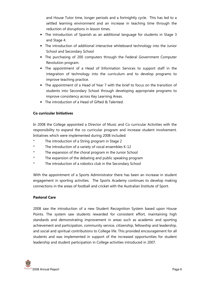and House Tutor time, longer periods and a fortnightly cycle. This has led to a settled learning environment and an increase in teaching time through the reduction of disruptions in lesson times.

- The introduction of Spanish as an additional language for students in Stage 3 and Stage 4.
- The introduction of additional interactive whiteboard technology into the Junior School and Secondary School
- The purchasing of 200 computers through the Federal Government Computer Revolution program.
- The appointment of a Head of Information Services to support staff in the integration of technology into the curriculum and to develop programs to improve teaching practice.
- The appointment of a Head of Year 7 with the brief to focus on the transition of students into Secondary School through developing appropriate programs to improve consistency across Key Learning Areas.
- The introduction of a Head of Gifted & Talented.

#### Co curricular Initiatives

In 2008 the College appointed a Director of Music and Co curricular Activities with the responsibility to expand the co curricular program and increase student involvement. Initiatives which were implemented during 2008 included:

- \* The introduction of a String program in Stage 2
- \* The introduction of a variety of vocal ensembles K-12
- \* The expansion of the choral program in the Junior School
- The expansion of the debating and public speaking program
- The introduction of a robotics club in the Secondary School

With the appointment of a Sports Administrator there has been an increase in student engagement in sporting activities. The Sports Academy continues to develop making connections in the areas of football and cricket with the Australian Institute of Sport.

#### Pastoral Care

2008 saw the introduction of a new Student Recognition System based upon House Points. The system saw students rewarded for consistent effort, maintaining high standards and demonstrating improvement in areas such as academic and sporting achievement and participation, community service, citizenship, fellowship and leadership, and social and spiritual contributions to College life. This provided encouragement for all students and was implemented in support of the increased opportunities for student leadership and student participation in College activities introduced in 2007.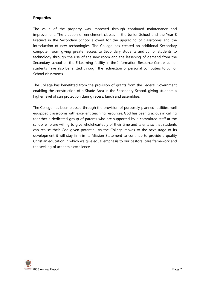#### **Properties**

The value of the property was improved through continued maintenance and improvement. The creation of enrichment classes in the Junior School and the Year 8 Precinct in the Secondary School allowed for the upgrading of classrooms and the introduction of new technologies. The College has created an additional Secondary computer room giving greater access to Secondary students and Junior students to technology through the use of the new room and the lessening of demand from the Secondary school on the E-Learning facility in the Information Resource Centre. Junior students have also benefitted through the redirection of personal computers to Junior School classrooms.

The College has benefitted from the provision of grants from the Federal Government enabling the construction of a Shade Area in the Secondary School, giving students a higher level of sun protection during recess, lunch and assemblies.

The College has been blessed through the provision of purposely planned facilities, well equipped classrooms with excellent teaching resources. God has been gracious in calling together a dedicated group of parents who are supported by a committed staff at the school who are willing to give wholeheartedly of their time and talents so that students can realise their God given potential. As the College moves to the next stage of its development it will stay firm in its Mission Statement to continue to provide a quality Christian education in which we give equal emphasis to our pastoral care framework and the seeking of academic excellence.

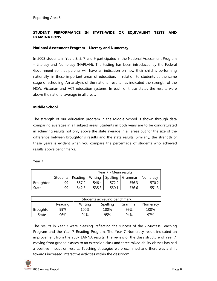#### STUDENT PERFORMANCE IN STATE-WIDE OR EQUIVALENT TESTS AND EXAMINATIONS

#### National Assessment Program – Literacy and Numeracy

In 2008 students in Years 3, 5, 7 and 9 participated in the National Assessment Program – Literacy and Numeracy (NAPLAN). The testing has been introduced by the Federal Government so that parents will have an indication on how their child is performing nationally, in these important areas of education, in relation to students at the same stage of schooling. An analysis of the national results has indicated the strength of the NSW, Victorian and ACT education systems. In each of these states the results were above the national average in all areas.

#### Middle School

The strength of our education program in the Middle School is shown through data comparing averages in all subject areas. Students in both years are to be congratulated in achieving results not only above the state average in all areas but for the size of the difference between Broughton's results and the state results. Similarly, the strength of these years is evident when you compare the percentage of students who achieved results above benchmarks.

#### Year 7

|           |          | Year 7 - Mean results |         |       |                    |                 |  |  |
|-----------|----------|-----------------------|---------|-------|--------------------|-----------------|--|--|
|           | Students | Reading               | Writing |       | Spelling   Grammar | <b>Numeracy</b> |  |  |
| Broughton | 99       | 557.9                 | 546.4   | 572.2 | 556.3              | 570.2           |  |  |
| State     | 99       | 542.5                 | 535.3   | 550.1 | 536.6              | 551.3           |  |  |

|                  | Students achieving benchmark |         |                                 |     |      |  |  |
|------------------|------------------------------|---------|---------------------------------|-----|------|--|--|
|                  | Reading                      | Writing | Spelling<br>Grammar<br>Numeracy |     |      |  |  |
| <b>Broughton</b> | 99%                          | 100%    | 100%                            | 99% | 100% |  |  |
| State            | 96%                          | 94%     | 95%                             | 94% | 97%  |  |  |

The results in Year 7 were pleasing, reflecting the success of the 7-Success Teaching Program and the Year 7 Reading Program. The Year 7 Numeracy result indicated an improvement from the 2007 LANNA results. The review of the class structure of Year 7, moving from graded classes to an extension class and three mixed ability classes has had a positive impact on results. Teaching strategies were examined and there was a shift towards increased interactive activities within the classroom.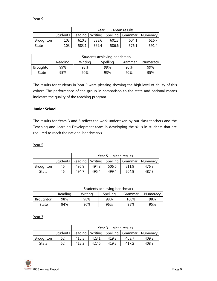Year 9

|           |     | Year 9 - Mean results |                                                              |       |       |       |  |  |
|-----------|-----|-----------------------|--------------------------------------------------------------|-------|-------|-------|--|--|
|           |     |                       | Students   Reading   Writing   Spelling   Grammar   Numeracy |       |       |       |  |  |
| Broughton | 103 | 610.3                 | 583.6                                                        | 601.3 | 604.1 | 616.7 |  |  |
| State     | 103 | 583.1                 | 569.4                                                        | 586.6 | 576.1 | 591.4 |  |  |

|           | Students achieving benchmark |         |          |         |          |  |  |  |
|-----------|------------------------------|---------|----------|---------|----------|--|--|--|
|           | Reading                      | Writing | Spelling | Grammar | Numeracy |  |  |  |
| Broughton | 99%                          | 98%     | 99%      | 95%     | 99%      |  |  |  |
| State     | 95%                          | 90%     | 93%      | 92%     | 95%      |  |  |  |

The results for students in Year 9 were pleasing showing the high level of ability of this cohort. The performance of the group in comparison to the state and national means indicates the quality of the teaching program.

#### Junior School

The results for Years 3 and 5 reflect the work undertaken by our class teachers and the Teaching and Learning Development team in developing the skills in students that are required to reach the national benchmarks.

Year 5

|           |    | Year 5 - Mean results |                                                              |       |       |       |  |
|-----------|----|-----------------------|--------------------------------------------------------------|-------|-------|-------|--|
|           |    |                       | Students   Reading   Writing   Spelling   Grammar   Numeracy |       |       |       |  |
| Broughton | 46 | 496.9                 | 494.8                                                        | 506.6 | 511.9 | 476.8 |  |
| State     | 46 | 494.7                 | 495.4                                                        | 499.4 | 504.9 | 487.8 |  |

|           | Students achieving benchmark |         |          |         |          |  |  |  |
|-----------|------------------------------|---------|----------|---------|----------|--|--|--|
|           | Reading                      | Writing | Spelling | Grammar | Numeracy |  |  |  |
| Broughton | 98%                          | 98%     | 98%      | 100%    | 98%      |  |  |  |
| State     | 94%                          | 96%     | 96%      | 95%     | 95%      |  |  |  |

Year 3

|           |    | Year 3 - Mean results |                                                              |       |       |       |  |
|-----------|----|-----------------------|--------------------------------------------------------------|-------|-------|-------|--|
|           |    |                       | Students   Reading   Writing   Spelling   Grammar   Numeracy |       |       |       |  |
| Broughton | 52 | 410.5                 | 423.1                                                        | 419.8 | 403.7 | 409.2 |  |
| State     | 52 | 412.3                 | 427.6                                                        | 419.2 | 417.2 | 408.9 |  |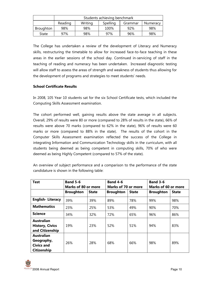|           | Students achieving benchmark |         |          |         |          |  |  |  |
|-----------|------------------------------|---------|----------|---------|----------|--|--|--|
|           | Reading                      | Writing | Spelling | Grammar | Numeracy |  |  |  |
| Broughton | 98%                          | 98%     | 100%     | 92%     | 98%      |  |  |  |
| State     | 97%                          | 98%     | 97%      | 96%     | 98%      |  |  |  |

The College has undertaken a review of the development of Literacy and Numeracy skills, restructuring the timetable to allow for increased face-to-face teaching in these areas in the earlier sessions of the school day. Continued in-servicing of staff in the teaching of reading and numeracy has been undertaken. Increased diagnostic testing will allow staff to assess the areas of strength and weakness of students thus allowing for the development of programs and strategies to meet students' needs.

#### School Certificate Results

In 2008, 105 Year 10 students sat for the six School Certificate tests, which included the Computing Skills Assessment examination.

The cohort performed well, gaining results above the state average in all subjects. Overall, 29% of results were 80 or more (compared to 28% of results in the state), 66% of results were above 70 marks (compared to 62% in the state), 96% of results were 60 marks or more (compared to 88% in the state). The results of the cohort in the Computer Skills Assessment examination reflected the success of the College in integrating Information and Communication Technology skills in the curriculum, with all students being deemed as being competent in computing skills, 70% of who were deemed as being Highly Competent (compared to 57% of the state).

| <b>Test</b>                                                         | <b>Band 5-6</b><br><b>Marks of 80 or more</b> |              | <b>Band 4-6</b><br><b>Marks of 70 or more</b> |              | <b>Band 3-6</b><br>Marks of 60 or more |              |
|---------------------------------------------------------------------|-----------------------------------------------|--------------|-----------------------------------------------|--------------|----------------------------------------|--------------|
|                                                                     | <b>Broughton</b>                              | <b>State</b> | <b>Broughton</b>                              | <b>State</b> | <b>Broughton</b>                       | <b>State</b> |
| <b>English-Literacy</b>                                             | 39%                                           | 39%          | 89%                                           | 78%          | 99%                                    | 98%          |
| <b>Mathematics</b>                                                  | 23%                                           | 25%          | 53%                                           | 49%          | 90%                                    | 70%          |
| <b>Science</b>                                                      | 34%                                           | 32%          | 72%                                           | 65%          | 96%                                    | 86%          |
| <b>Australian</b><br><b>History, Civics</b><br>and Citizenship      | 19%                                           | 23%          | 52%                                           | 51%          | 94%                                    | 83%          |
| <b>Australian</b><br>Geography,<br><b>Civics and</b><br>Citizenship | 26%                                           | 28%          | 68%                                           | 66%          | 98%                                    | 89%          |

An overview of subject performance and a comparison to the performance of the state candidature is shown in the following table: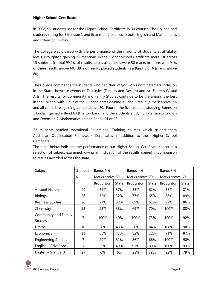#### Higher School Certificate

In 2008, 95 students sat for the Higher School Certificate in 30 courses. The College had students sitting for Extension 1 and Extension 2 courses in both English and Mathematics and Extension History.

The College was pleased with the performance of the majority of students at all ability levels. Broughton gaining 31 mentions in the Higher School Certificate merit list across 15 subjects. In total 99.2% of results across all courses were 50 marks or more, with 94% of these results above 60. 39% of results placed students in a Band 5 or 6 (marks above 80).

The College commends the students who had their major works nominated for inclusion in the State showcase events of Textstyles (Textiles and Design) and Art Express (Visual Arts). The results for Community and Family Studies continue to be the among the best in the College, with 5 out of the 10 candidates gaining a Band 6 result (a mark above 90) and all candidates gaining a mark above 80. Four of the five students studying Extension 1 English gained a Band E4 (the top band) and the students studying Extension 2 English and Extension 2 Mathematics gained Bands E4 or E3.

22 students studied Vocational Educational Training courses which gained them Australian Qualification Framework Certificates in addition to their Higher School Certificate.

The table below indicates the performance of our Higher School Certificate cohort in a selection of subject examined, giving an indication of the results gained in comparison to results awarded across the state.

| Subject                                | Student | Bands 5-6      |              | Bands 4-6      |       | Bands 3-6      |              |
|----------------------------------------|---------|----------------|--------------|----------------|-------|----------------|--------------|
|                                        | S       | Marks above 80 |              | Marks above 70 |       | Marks above 60 |              |
|                                        |         | Broughton      | <b>State</b> | Broughton      | State | Broughton      | <b>State</b> |
| <b>Ancient History</b>                 | 29      | 31%            | 37%          | 55%            | 62%   | 83%            | 81%          |
| Biology                                | 26      | 35%            | 32%          | 77%            | 65%   | 88%            | 89%          |
| <b>Business Studies</b>                | 26      | 27%            | 32%          | 69%            | 61%   | 92%            | 86%          |
| Chemistry                              | 13      | 23%            | 38%          | 69%            | 70%   | 100%           | 88%          |
| Community and Family<br><b>Studies</b> | 7       | 100%           | 40%          | 100%           | 73%   | 100%           | 92%          |
| Drama                                  | 10      | 50%            | 48%          | 50%            | 84%   | 100%           | 98%          |
| Economics                              | 11      | 55%            | 47%          | 82%            | 72%   | 91%            | 87%          |
| <b>Engineering Studies</b>             | 7       | 29%            | 31%          | 86%            | 66%   | 100%           | 90%          |
| English - Advanced                     | 58      | 52%            | 49%          | 91%            | 89%   | 100%           | 99%          |
| English - Standard                     | 37      | 0%             | 6%           | 35%            | 38%   | 92%            | 79%          |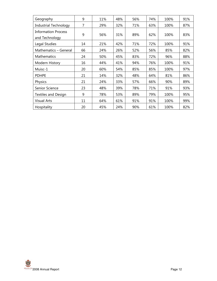| Geography                                    | 9  | 11% | 48% | 56% | 74% | 100% | 91% |
|----------------------------------------------|----|-----|-----|-----|-----|------|-----|
| <b>Industrial Technology</b>                 | 7  | 29% | 32% | 71% | 63% | 100% | 87% |
| <b>Information Process</b><br>and Technology | 9  | 56% | 31% | 89% | 62% | 100% | 83% |
| Legal Studies                                | 14 | 21% | 42% | 71% | 72% | 100% | 91% |
| Mathematics - General                        | 66 | 24% | 26% | 52% | 56% | 85%  | 82% |
| <b>Mathematics</b>                           | 24 | 50% | 45% | 83% | 72% | 96%  | 88% |
| Modern History                               | 16 | 44% | 41% | 94% | 76% | 100% | 91% |
| Muisc-1                                      | 20 | 60% | 54% | 85% | 85% | 100% | 97% |
| <b>PDHPE</b>                                 | 21 | 14% | 32% | 48% | 64% | 81%  | 86% |
| Physics                                      | 21 | 24% | 33% | 57% | 66% | 90%  | 89% |
| Senior Science                               | 23 | 48% | 39% | 78% | 71% | 91%  | 93% |
| <b>Textiles and Design</b>                   | 9  | 78% | 53% | 89% | 79% | 100% | 95% |
| <b>Visual Arts</b>                           | 11 | 64% | 61% | 91% | 91% | 100% | 99% |
| Hospitality                                  | 20 | 45% | 24% | 90% | 61% | 100% | 82% |

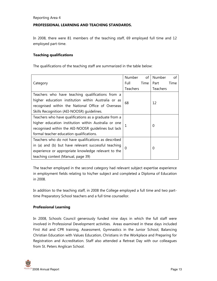#### PROFESSIONAL LEARNING AND TEACHING STANDARDS.

In 2008, there were 81 members of the teaching staff, 69 employed full time and 12 employed part-time.

#### Teaching qualifications

The qualifications of the teaching staff are summarized in the table below:

|                                                       | Number          | of   | Number   | of   |
|-------------------------------------------------------|-----------------|------|----------|------|
| Category                                              | Full            | Time | Part     | Time |
|                                                       | <b>Teachers</b> |      | Teachers |      |
| Teachers who have teaching qualifications from a      |                 |      |          |      |
| higher education institution within Australia or as   | 68              |      | 12       |      |
| recognised within the National Office of Overseas     |                 |      |          |      |
| Skills Recognition (AEI-NOOSR) guidelines.            |                 |      |          |      |
| Teachers who have qualifications as a graduate from a |                 |      |          |      |
| higher education institution within Australia or one  |                 |      | 0        |      |
| recognised within the AEI-NOOSR guidelines but lack   |                 |      |          |      |
| formal teacher education qualifications.              |                 |      |          |      |
| Teachers who do not have qualifications as described  |                 |      |          |      |
| in (a) and (b) but have relevant successful teaching  | 0               |      | 0        |      |
| experience or appropriate knowledge relevant to the   |                 |      |          |      |
| teaching context (Manual, page 39)                    |                 |      |          |      |

The teacher employed in the second category had relevant subject expertise experience in employment fields relating to his/her subject and completed a Diploma of Education in 2008.

In addition to the teaching staff, in 2008 the College employed a full time and two parttime Preparatory School teachers and a full time counsellor.

#### Professional Learning

In 2008, Schools Council generously funded nine days in which the full staff were involved in Professional Development activities. Areas examined in these days included First Aid and CPR training, Assessment, Gymnastics in the Junior School, Balancing Christian Education with Values Education, Christians in the Workplace and Preparing for Registration and Accreditation. Staff also attended a Retreat Day with our colleagues from St. Peters Anglican School.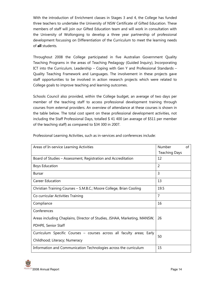With the introduction of Enrichment classes in Stages 3 and 4, the College has funded three teachers to undertake the University of NSW Certificate of Gifted Education. These members of staff will join our Gifted Education team and will work in consultation with the University of Wollongong to develop a three year partnership of professional development focussing on Differentiation of the Curriculum to meet the learning needs of all students.

Throughout 2008 the College participated in five Australian Government Quality Teaching Programs in the areas of Teaching Pedagogy (Guided Inquiry), Incorporating ICT into the Curriculum, Leadership – Coping with Gen Y and Professional Standards – Quality Teaching Framework and Languages. The involvement in these projects gave staff opportunities to be involved in action research projects which were related to College goals to improve teaching and learning outcomes.

Schools Council also provided, within the College budget, an average of two days per member of the teaching staff to access professional development training through courses from external providers. An overview of attendance at these courses is shown in the table below. The total cost spent on these professional development activities, not including the Staff Professional Days, totalled \$ 41 400 (an average of \$511 per member of the teaching staff) as compared to \$34 300 in 2007.

| Areas of In-service Learning Activities                                  | <b>Number</b>        | of |
|--------------------------------------------------------------------------|----------------------|----|
|                                                                          | <b>Teaching Days</b> |    |
| Board of Studies – Assessment, Registration and Accreditation            | 12                   |    |
| <b>Boys Education</b>                                                    | $\overline{2}$       |    |
| <b>Bursar</b>                                                            | $\overline{3}$       |    |
| <b>Career Education</b>                                                  | 13                   |    |
| Christian Training Courses - S.M.B.C.; Moore College, Brian Cooling      | 19.5                 |    |
| Co curricular Activities Training                                        | $\overline{7}$       |    |
| Compliance                                                               | 16                   |    |
| Conferences                                                              |                      |    |
| Areas including Chaplains, Director of Studies, JSHAA, Marketing, MANSW, | 26                   |    |
| PDHPE, Senior Staff                                                      |                      |    |
| Curriculum Specific Courses - courses across all faculty areas; Early    | 50                   |    |
| Childhood; Literacy; Numeracy                                            |                      |    |
| Information and Communication Technologies across the curriculum         | 15                   |    |

Professional Learning Activities, such as in-services and conferences include: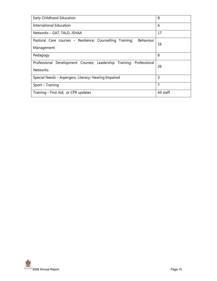| Early Childhood Education                                                                   | 8         |
|---------------------------------------------------------------------------------------------|-----------|
| International Education                                                                     | 6         |
| Networks - GAT, TALD, JSHAA                                                                 | 17        |
| <b>Behaviour</b><br>Pastoral Care courses - Resilience; Counselling Training;<br>Management | 16        |
| Pedagogy                                                                                    | 8         |
| Professional Development Courses; Leadership Training; Professional<br><b>Networks</b>      | 26        |
| Special Needs - Aspergers; Literacy; Hearing Impaired                                       | 3         |
| Sport - Training                                                                            | 7         |
| Training - First Aid, or CPR updates                                                        | All staff |

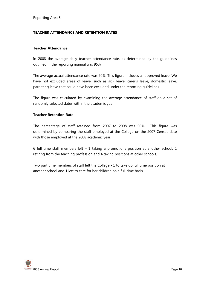#### TEACHER ATTENDANCE AND RETENTION RATES

#### Teacher Attendance

In 2008 the average daily teacher attendance rate, as determined by the guidelines outlined in the reporting manual was 95%.

The average actual attendance rate was 90%. This figure includes all approved leave. We have not excluded areas of leave, such as sick leave, carer's leave, domestic leave, parenting leave that could have been excluded under the reporting guidelines.

The figure was calculated by examining the average attendance of staff on a set of randomly selected dates within the academic year.

#### Teacher Retention Rate

The percentage of staff retained from 2007 to 2008 was 90%. This figure was determined by comparing the staff employed at the College on the 2007 Census date with those employed at the 2008 academic year.

6 full time staff members left  $-1$  taking a promotions position at another school, 1 retiring from the teaching profession and 4 taking positions at other schools.

Two part time members of staff left the College - 1 to take up full time position at another school and 1 left to care for her children on a full time basis.

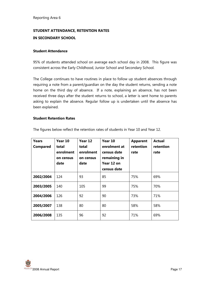### STUDENT ATTENDANCE, RETENTION RATES

#### IN SECONDARY SCHOOL

#### Student Attendance

95% of students attended school on average each school day in 2008. This figure was consistent across the Early Childhood, Junior School and Secondary School.

The College continues to have routines in place to follow up student absences through requiring a note from a parent/guardian on the day the student returns, sending a note home on the third day of absence. If a note, explaining an absence, has not been received three days after the student returns to school, a letter is sent home to parents asking to explain the absence. Regular follow up is undertaken until the absence has been explained.

#### Student Retention Rates

| Years<br>Compared | Year 10<br>total<br>enrolment<br>on census<br>date | Year 12<br>total<br>enrolment<br>on census<br>date | Year 10<br>enrolment at<br>census date<br>remaining in<br>Year 12 on<br>census date | <b>Apparent</b><br>retention<br>rate | <b>Actual</b><br>retention<br>rate |
|-------------------|----------------------------------------------------|----------------------------------------------------|-------------------------------------------------------------------------------------|--------------------------------------|------------------------------------|
| 2002/2004         | 124                                                | 93                                                 | 85                                                                                  | 75%                                  | 69%                                |
| 2003/2005         | 140                                                | 105                                                | 99                                                                                  | 75%                                  | 70%                                |
| 2004/2006         | 126                                                | 92                                                 | 90                                                                                  | 73%                                  | 71%                                |
| 2005/2007         | 138                                                | 80                                                 | 80                                                                                  | 58%                                  | 58%                                |
| 2006/2008         | 135                                                | 96                                                 | 92                                                                                  | 71%                                  | 69%                                |

The figures below reflect the retention rates of students in Year 10 and Year 12.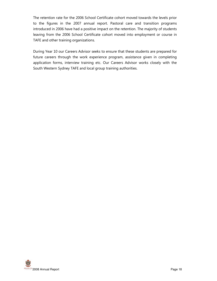The retention rate for the 2006 School Certificate cohort moved towards the levels prior to the figures in the 2007 annual report. Pastoral care and transition programs introduced in 2006 have had a positive impact on the retention. The majority of students leaving from the 2006 School Certificate cohort moved into employment or course in TAFE and other training organizations.

During Year 10 our Careers Advisor seeks to ensure that these students are prepared for future careers through the work experience program, assistance given in completing application forms, interview training etc. Our Careers Advisor works closely with the South Western Sydney TAFE and local group training authorities.

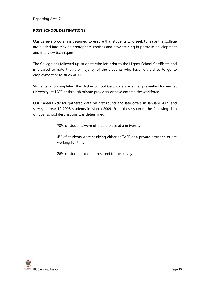#### POST SCHOOL DESTINATIONS

Our Careers program is designed to ensure that students who seek to leave the College are guided into making appropriate choices and have training in portfolio development and interview techniques.

The College has followed up students who left prior to the Higher School Certificate and is pleased to note that the majority of the students who have left did so to go to employment or to study at TAFE.

Students who completed the Higher School Certificate are either presently studying at university, at TAFE or through private providers or have entered the workforce.

Our Careers Advisor gathered data on first round and late offers in January 2009 and surveyed Year 12 2008 students in March 2009. From these sources the following data on post school destinations was determined:

70% of students were offered a place at a university

4% of students were studying either at TAFE or a private provider, or are working full time

26% of students did not respond to the survey

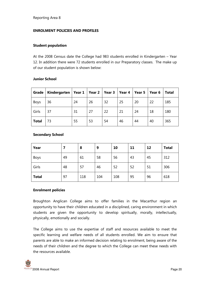#### ENROLMENT POLICIES AND PROFILES

#### Student population

At the 2008 Census date the College had 983 students enrolled in Kindergarten – Year 12. In addition there were 72 students enrolled in our Preparatory classes. The make up of our student population is shown below:

#### Junior School

| Grade        | Kindergarten   Year $1$   Year 2   Year 3 |    |    |    | Year 4 | Year 5 | Year 6 | <b>Total</b> |
|--------------|-------------------------------------------|----|----|----|--------|--------|--------|--------------|
| Boys         | 36                                        | 24 | 26 | 32 | 25     | 20     | 22     | 185          |
| Girls        | 37                                        | 31 | 27 | 22 | 21     | 24     | 18     | 180          |
| <b>Total</b> | 73                                        | 55 | 53 | 54 | 46     | 44     | 40     | 365          |

#### Secondary School

| Year         |    | 8   | 9   | 10  | 11 | 12 | <b>Total</b> |
|--------------|----|-----|-----|-----|----|----|--------------|
| Boys         | 49 | 61  | 58  | 56  | 43 | 45 | 312          |
| Girls        | 48 | 57  | 46  | 52  | 52 | 51 | 306          |
| <b>Total</b> | 97 | 118 | 104 | 108 | 95 | 96 | 618          |

#### Enrolment policies

Broughton Anglican College aims to offer families in the Macarthur region an opportunity to have their children educated in a disciplined, caring environment in which students are given the opportunity to develop spiritually, morally, intellectually, physically, emotionally and socially.

The College aims to use the expertise of staff and resources available to meet the specific learning and welfare needs of all students enrolled. We aim to ensure that parents are able to make an informed decision relating to enrolment, being aware of the needs of their children and the degree to which the College can meet these needs with the resources available.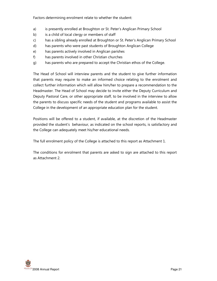Factors determining enrolment relate to whether the student:

- a) is presently enrolled at Broughton or St. Peter's Anglican Primary School
- b) is a child of local clergy or members of staff
- c) has a sibling already enrolled at Broughton or St. Peter's Anglican Primary School
- d) has parents who were past students of Broughton Anglican College
- e) has parents actively involved in Anglican parishes
- f) has parents involved in other Christian churches
- g) has parents who are prepared to accept the Christian ethos of the College.

The Head of School will interview parents and the student to give further information that parents may require to make an informed choice relating to the enrolment and collect further information which will allow him/her to prepare a recommendation to the Headmaster. The Head of School may decide to invite either the Deputy Curriculum and Deputy Pastoral Care, or other appropriate staff, to be involved in the interview to allow the parents to discuss specific needs of the student and programs available to assist the College in the development of an appropriate education plan for the student.

Positions will be offered to a student, if available, at the discretion of the Headmaster provided the student's behaviour, as indicated on the school reports, is satisfactory and the College can adequately meet his/her educational needs.

The full enrolment policy of the College is attached to this report as Attachment 1.

The conditions for enrolment that parents are asked to sign are attached to this report as Attachment 2.

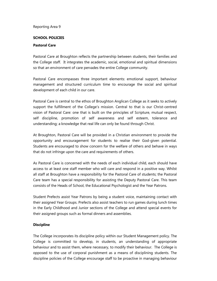#### SCHOOL POLICIES

#### Pastoral Care

Pastoral Care at Broughton reflects the partnership between students, their families and the College staff. It integrates the academic, social, emotional and spiritual dimensions so that an environment of care pervades the entire College community.

Pastoral Care encompasses three important elements: emotional support, behaviour management and structured curriculum time to encourage the social and spiritual development of each child in our care.

Pastoral Care is central to the ethos of Broughton Anglican College as it seeks to actively support the fulfillment of the College's mission. Central to that is our Christ-centred vision of Pastoral Care: one that is built on the principles of Scripture, mutual respect, self discipline, promotion of self awareness and self esteem, tolerance and understanding; a knowledge that real life can only be found through Christ.

At Broughton, Pastoral Care will be provided in a Christian environment to provide the opportunity and encouragement for students to realise their God-given potential. Students are encouraged to show concern for the welfare of others and behave in ways that do not infringe upon the care and requirements of others.

As Pastoral Care is concerned with the needs of each individual child, each should have access to at least one staff member who will care and respond in a positive way. Whilst all staff at Broughton have a responsibility for the Pastoral Care of students; the Pastoral Care team has a special responsibility for assisting the Deputy Pastoral Care. This team consists of the Heads of School, the Educational Psychologist and the Year Patrons.

Student Prefects assist Year Patrons by being a student voice, maintaining contact with their assigned Year Groups. Prefects also assist teachers to run games during lunch times in the Early Childhood and Junior sections of the College and attend special events for their assigned groups such as formal dinners and assemblies.

#### **Discipline**

The College incorporates its discipline policy within our Student Management policy. The College is committed to develop, in students, an understanding of appropriate behaviour and to assist them, where necessary, to modify their behaviour. The College is opposed to the use of corporal punishment as a means of disciplining students. The discipline policies of the College encourage staff to be proactive in managing behaviour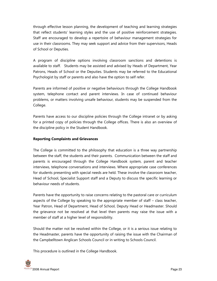through effective lesson planning, the development of teaching and learning strategies that reflect students' learning styles and the use of positive reinforcement strategies. Staff are encouraged to develop a repertoire of behaviour management strategies for use in their classrooms. They may seek support and advice from their supervisors, Heads of School or Deputies.

A program of discipline options involving classroom sanctions and detentions is available to staff. Students may be assisted and advised by Heads of Department, Year Patrons, Heads of School or the Deputies. Students may be referred to the Educational Psychologist by staff or parents and also have the option to self refer.

Parents are informed of positive or negative behaviours through the College Handbook system, telephone contact and parent interviews. In case of continued behaviour problems, or matters involving unsafe behaviour, students may be suspended from the College.

Parents have access to our discipline policies through the College intranet or by asking for a printed copy of policies through the College offices. There is also an overview of the discipline policy in the Student Handbook.

#### Reporting Complaints and Grievances

The College is committed to the philosophy that education is a three way partnership between the staff, the students and their parents. Communication between the staff and parents is encouraged through the College Handbook system, parent and teacher interviews, telephone conversations and interviews. Where appropriate case conferences for students presenting with special needs are held. These involve the classroom teacher, Head of School, Specialist Support staff and a Deputy to discuss the specific learning or behaviour needs of students.

Parents have the opportunity to raise concerns relating to the pastoral care or curriculum aspects of the College by speaking to the appropriate member of staff – class teacher, Year Patron, Head of Department, Head of School, Deputy Head or Headmaster. Should the grievance not be resolved at that level then parents may raise the issue with a member of staff at a higher level of responsibility.

Should the matter not be resolved within the College, or it is a serious issue relating to the Headmaster, parents have the opportunity of raising the issue with the Chairman of the Campbelltown Anglican Schools Council or in writing to Schools Council.

This procedure is outlined in the College Handbook.

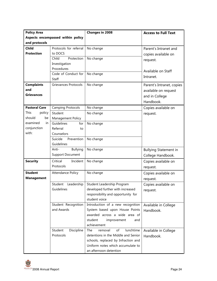| <b>Policy Area</b>                |                                   | <b>Changes in 2008</b>                                                                             | <b>Access to Full Text</b>   |
|-----------------------------------|-----------------------------------|----------------------------------------------------------------------------------------------------|------------------------------|
| Aspects encompassed within policy |                                   |                                                                                                    |                              |
| and protocols                     |                                   |                                                                                                    |                              |
| <b>Child</b>                      | Protocols for referral            | No change                                                                                          | Parent's Intranet and        |
| <b>Protection</b>                 | to DOCS                           |                                                                                                    | copies available on          |
|                                   | Protection<br>Child               | No change                                                                                          | request.                     |
|                                   | Investigation                     |                                                                                                    |                              |
|                                   | Procedures                        |                                                                                                    | Available on Staff           |
|                                   | Code of Conduct for               | No change                                                                                          | Intranet.                    |
|                                   | Staff                             |                                                                                                    |                              |
| <b>Complaints</b>                 | Grievances Protocols              | No change                                                                                          | Parent's Intranet, copies    |
| and                               |                                   |                                                                                                    | available on request         |
| Grievances                        |                                   |                                                                                                    | and in College               |
|                                   |                                   |                                                                                                    | Handbook.                    |
| <b>Pastoral Care</b>              | <b>Camping Protocols</b>          | No change                                                                                          | Copies available on          |
| This<br>policy                    | Student                           | No change                                                                                          | request.                     |
| should<br>be                      | <b>Management Policy</b>          |                                                                                                    |                              |
| examined<br>in                    | Guidelines<br>for                 | No change                                                                                          |                              |
| conjunction                       | Referral<br>to                    |                                                                                                    |                              |
| with:                             | Counselors                        |                                                                                                    |                              |
|                                   | Suicide<br>Prevention             | No change                                                                                          |                              |
|                                   | Guidelines                        |                                                                                                    |                              |
|                                   | Anti-<br><b>Bullying</b>          | No change                                                                                          | <b>Bullying Statement in</b> |
|                                   | <b>Support Document</b>           |                                                                                                    | College Handbook.            |
| <b>Security</b>                   | Critical<br>Incident              | No change                                                                                          | Copies available on          |
|                                   | Protocols                         |                                                                                                    |                              |
| <b>Student</b>                    |                                   |                                                                                                    | request.                     |
| <b>Management</b>                 | <b>Attendance Policy</b>          | No change                                                                                          | Copies available on          |
|                                   |                                   |                                                                                                    | request.                     |
|                                   | Leadership<br>Student             | Student Leadership Program                                                                         | Copies available on          |
|                                   | Guidelines                        | developed further with increased                                                                   | request.                     |
|                                   |                                   | responsibility and opportunity for                                                                 |                              |
|                                   |                                   | student voice                                                                                      |                              |
|                                   | Student Recognition<br>and Awards | Introduction of a new recognition                                                                  | Available in College         |
|                                   |                                   | System based upon House Points<br>awarded across a wide area of                                    | Handbook.                    |
|                                   |                                   | student                                                                                            |                              |
|                                   |                                   | improvement<br>and<br>achievement                                                                  |                              |
|                                   | Student<br>Discipline             | of<br>lunchtime<br>The<br>removal                                                                  | Available in College         |
|                                   |                                   | detentions in the Middle and Senior                                                                |                              |
|                                   |                                   |                                                                                                    |                              |
|                                   |                                   |                                                                                                    |                              |
|                                   |                                   |                                                                                                    |                              |
|                                   | Protocols                         | schools, replaced by Infraction and<br>Uniform notes which accumulate to<br>an afternoon detention | Handbook.                    |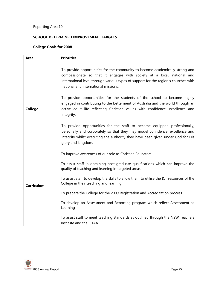#### SCHOOL DETERMINED IMPROVEMENT TARGETS

#### College Goals for 2008

| Area              | <b>Priorities</b>                                                                                                                                                                                                                                                                     |
|-------------------|---------------------------------------------------------------------------------------------------------------------------------------------------------------------------------------------------------------------------------------------------------------------------------------|
|                   |                                                                                                                                                                                                                                                                                       |
|                   | To provide opportunities for the community to become academically strong and<br>compassionate so that it engages with society at a local, national and<br>international level through various types of support for the region's churches with<br>national and international missions. |
| <b>College</b>    | To provide opportunities for the students of the school to become highly<br>engaged in contributing to the betterment of Australia and the world through an<br>active adult life reflecting Christian values with confidence, excellence and<br>integrity.                            |
|                   | To provide opportunities for the staff to become equipped professionally,<br>personally and corporately so that they may model confidence, excellence and<br>integrity whilst executing the authority they have been given under God for His<br>glory and kingdom.                    |
|                   | To improve awareness of our role as Christian Educators                                                                                                                                                                                                                               |
|                   | To assist staff in obtaining post graduate qualifications which can improve the<br>quality of teaching and learning in targeted areas.                                                                                                                                                |
| <b>Curriculum</b> | To assist staff to develop the skills to allow them to utilise the ICT resources of the<br>College in their teaching and learning                                                                                                                                                     |
|                   | To prepare the College for the 2009 Registration and Accreditation process                                                                                                                                                                                                            |
|                   | To develop an Assessment and Reporting program which reflect Assessment as<br>Learning                                                                                                                                                                                                |
|                   | To assist staff to meet teaching standards as outlined through the NSW Teachers<br>Institute and the ISTAA                                                                                                                                                                            |

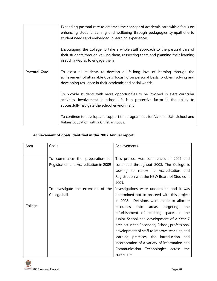|                      | Expanding pastoral care to embrace the concept of academic care with a focus on<br>enhancing student learning and wellbeing through pedagogies sympathetic to<br>student needs and embedded in learning experiences.         |
|----------------------|------------------------------------------------------------------------------------------------------------------------------------------------------------------------------------------------------------------------------|
|                      | Encouraging the College to take a whole staff approach to the pastoral care of<br>their students through valuing them, respecting them and planning their learning<br>in such a way as to engage them.                       |
| <b>Pastoral Care</b> | To assist all students to develop a life-long love of learning through the<br>achievement of attainable goals, focusing on personal bests, problem solving and<br>developing resilience in their academic and social worlds. |
|                      | To provide students with more opportunities to be involved in extra curricular<br>activities. Involvement in school life is a protective factor in the ability to<br>successfully navigate the school environment.           |
|                      | To continue to develop and support the programmes for National Safe School and<br>Values Education with a Christian focus.                                                                                                   |

#### Achievement of goals identified in the 2007 Annual report.

| Area    | Goals                                                                        | Achievements                                                                                                                                                                                                                                                                                                                                                                                                                                                                                                                              |
|---------|------------------------------------------------------------------------------|-------------------------------------------------------------------------------------------------------------------------------------------------------------------------------------------------------------------------------------------------------------------------------------------------------------------------------------------------------------------------------------------------------------------------------------------------------------------------------------------------------------------------------------------|
|         | commence the preparation for<br>To<br>Registration and Accreditation in 2009 | This process was commenced in 2007 and<br>continued throughout 2008. The College is<br>seeking to renew its Accreditation and<br>Registration with the NSW Board of Studies in<br>2009.                                                                                                                                                                                                                                                                                                                                                   |
| College | To investigate the extension of the<br>College hall                          | Investigations were undertaken and it was<br>determined not to proceed with this project<br>in 2008. Decisions were made to allocate<br>into<br>targeting<br>the<br>resources<br>areas<br>refurbishment of teaching spaces in the<br>Junior School, the development of a Year 7<br>precinct in the Secondary School, professional<br>development of staff to improve teaching and<br>learning practices, the introduction and<br>incorporation of a variety of Information and<br>Communication Technologies across<br>the<br>curriculum. |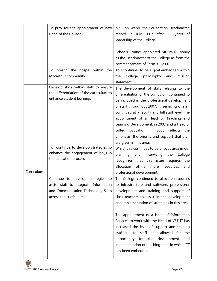|            | To pray for the appointment of new<br>Head of the College.                                                                                 | Mr. Ron Webb, the Foundation Headmaster,<br>retired in July 2007 after 22 years of<br>leadership of the College.                                                                                                                                                                                                                                                                                                                                                       |
|------------|--------------------------------------------------------------------------------------------------------------------------------------------|------------------------------------------------------------------------------------------------------------------------------------------------------------------------------------------------------------------------------------------------------------------------------------------------------------------------------------------------------------------------------------------------------------------------------------------------------------------------|
|            |                                                                                                                                            | Schools Council appointed Mr. Paul Rooney<br>as the Headmaster of the College as from the<br>commencement of Term 3 - 2007.                                                                                                                                                                                                                                                                                                                                            |
|            | To preach the gospel within the<br>Macarthur community.                                                                                    | This continues to be a goal embedded within<br>philosophy<br>mission<br>College<br>and<br>the<br>statement.                                                                                                                                                                                                                                                                                                                                                            |
|            | Develop skills within staff to ensure<br>the differentiation of the curriculum to<br>enhance student learning.                             | The development of skills relating to the<br>differentiation of the curriculum continued to<br>be included in the professional development<br>of staff throughout 2007. Inservicing of staff<br>continued at a faculty and full staff level. The<br>appointment of a Head of Teaching and<br>Learning Development, in 2007 and a Head of<br>Gifted Education in 2008<br>reflects<br>the<br>emphasis, the priority and support that staff                               |
| Curriculum | To continue to develop strategies to<br>enhance the engagement of boys in<br>the education process                                         | are given in this area.<br>Whilst this continues to be a focus area in our<br>planning<br>and<br>inservicing<br>the<br>College<br>recognizes that this issue requires the<br>allocation<br>of<br>a<br>more<br>resources<br>and<br>professional development.                                                                                                                                                                                                            |
|            | Continue to develop strategies to<br>assist staff to integrate Information<br>and Communication Technology Skills<br>across the curriculum | The College continued to allocate resources<br>to infrastructure and software, professional<br>development and training and support of<br>class teachers to assist in the development<br>and implementation of strategies in this area.<br>The appointment of a Head of Information<br>Services to work with the Head of VET-IT has<br>increased the level of support and training<br>available to staff and allowed for the<br>opportunity for the development<br>and |
|            |                                                                                                                                            | implementation of teaching units in which ICT<br>has been embedded.                                                                                                                                                                                                                                                                                                                                                                                                    |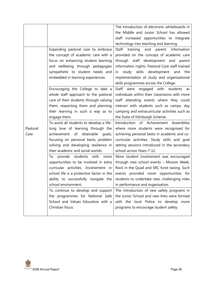|          |                                           | The introduction of electronic whiteboards in            |
|----------|-------------------------------------------|----------------------------------------------------------|
|          |                                           | the Middle and Junior School has allowed                 |
|          |                                           | staff increased opportunities to integrate               |
|          |                                           | technology into teaching and learning.                   |
|          | Expanding pastoral care to embrace        | <b>Staff</b><br>training<br>information<br>and<br>parent |
|          | the concept of academic care with a       | provided on the concept of academic care                 |
|          | focus on enhancing student learning       | through staff development and parent                     |
|          | and wellbeing through pedagogies          | information nights. Pastoral Care staff trained          |
|          | sympathetic to student needs and          | study skills development<br>and<br>the<br>in             |
|          | embedded in learning experiences.         | implementation of study and organisational               |
|          |                                           | skills programmes across the College.                    |
|          | Encouraging the College to take a         | Staff were engaged with<br>students<br>as                |
|          | whole staff approach to the pastoral      | individuals within their classrooms with more            |
|          | care of their students through valuing    | staff attending events where they could                  |
|          | them, respecting them and planning        | interact with students such as camps, day                |
|          | their learning in such a way as to        | camping and extracurricular activities such as           |
|          | engage them.                              | the Duke of Edinburgh Scheme.                            |
|          | To assist all students to develop a life- | Introduction of Achievement Assemblies                   |
| Pastoral | long love of learning through the         | where more students were recognised for                  |
| Care     | attainable<br>achievement<br>of<br>goals, | achieving personal bests in academic and co-             |
|          | focusing on personal bests, problem       | curricular activities. Study skills and goal             |
|          | solving and developing resilience in      | setting sessions introduced in the secondary             |
|          | their academic and social worlds.         | school across Years 7-12.                                |
|          | provide students with<br>To<br>more       | More student involvement was encouraged                  |
|          | opportunities to be involved in extra     | through new school events - Mission Week,                |
|          | curricular activities. Involvement in     | Rock in the Quad and SRC fund raising. Such              |
|          | school life is a protective factor in the | events provided more opportunities for                   |
|          | ability to successfully navigate the      | students to undertake new, challenging roles             |
|          | school environment.                       | in performance and organisation.                         |
|          | To continue to develop and support        | The introduction of new safety programs in               |
|          | the programmes for National Safe          | the Junior School and new links were formed              |
|          | School and Values Education with a        | with the local Police to develop more                    |
|          | Christian focus.                          | programs to encourage student safety.                    |
|          |                                           |                                                          |

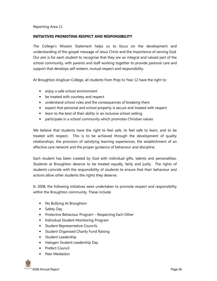#### INITIATIVES PROMOTING RESPECT AND RESPONSIBILITY

The College's Mission Statement helps us to focus on the development and understanding of the gospel message of Jesus Christ and the importance of serving God. Our aim is for each student to recognise that they are an integral and valued part of the school community, with parents and staff working together to provide pastoral care and support that develops self esteem, mutual respect and responsibility.

At Broughton Anglican College, all students from Prep to Year 12 have the right to:

- enjoy a safe school environment
- be treated with courtesy and respect
- understand school rules and the consequences of breaking them
- expect that personal and school property is secure and treated with respect
- learn to the best of their ability in an inclusive school setting
- participate in a school community which promotes Christian values

We believe that students have the right to feel safe, to feel safe to learn, and to be treated with respect. This is to be achieved through the development of quality relationships, the provision of satisfying learning experiences, the establishment of an effective care network and the proper guidance of behaviour and discipline.

Each student has been created by God with individual gifts, talents and personalities. Students at Broughton deserve to be treated equally, fairly and justly. The rights of students coincide with the responsibility of students to ensure that their behaviour and actions allow other students the rights they deserve.

In 2008, the following initiatives were undertaken to promote respect and responsibility within the Broughton community. These include:

- No Bullying At Broughton
- Safety Day

.

- Protective Behaviour Program Respecting Each Other
- Individual Student Monitoring Program
- **Student Representative Councils**
- Student Organised Charity Fund Raising
- Student Leadership
- Halogen Student Leadership Day
- Prefect Council
- Peer Mediation

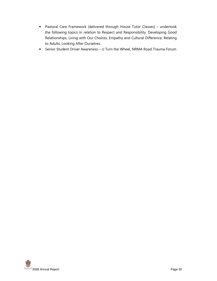- Pastoral Care Framework (delivered through House Tutor Classes) undertook the following topics in relation to Respect and Responsibility. Developing Good Relationships, Living with Our Choices, Empathy and Cultural Difference, Relating to Adults, Looking After Ourselves.
- Senior Student Driver Awareness U Turn the Wheel, NRMA Road Trauma Forum

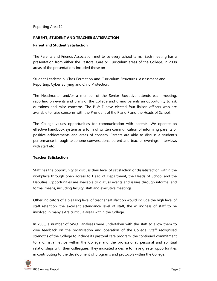#### PARENT, STUDENT AND TEACHER SATISFACTION

#### Parent and Student Satisfaction

The Parents and Friends Association met twice every school term. Each meeting has a presentation from either the Pastoral Care or Curriculum areas of the College. In 2008 areas of the presentations included those on

Student Leadership, Class Formation and Curriculum Structures, Assessment and Reporting, Cyber Bullying and Child Protection.

The Headmaster and/or a member of the Senior Executive attends each meeting, reporting on events and plans of the College and giving parents an opportunity to ask questions and raise concerns. The P & F have elected four liaison officers who are available to raise concerns with the President of the P and F and the Heads of School.

The College values opportunities for communication with parents. We operate an effective handbook system as a form of written communication of informing parents of positive achievements and areas of concern. Parents are able to discuss a student's performance through telephone conversations, parent and teacher evenings, interviews with staff etc.

#### Teacher Satisfaction

Staff has the opportunity to discuss their level of satisfaction or dissatisfaction within the workplace through open access to Head of Department, the Heads of School and the Deputies. Opportunities are available to discuss events and issues through informal and formal means, including faculty, staff and executive meetings.

Other indicators of a pleasing level of teacher satisfaction would include the high level of staff retention, the excellent attendance level of staff, the willingness of staff to be involved in many extra curricula areas within the College.

In 2008, a number of SWOT analyses were undertaken with the staff to allow them to give feedback on the organisation and operation of the College. Staff recognised strengths of the College to include its pastoral care program, the continued commitment to a Christian ethos within the College and the professional, personal and spiritual relationships with their colleagues. They indicated a desire to have greater opportunities in contributing to the development of programs and protocols within the College.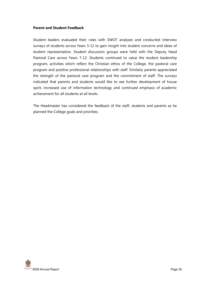#### Parent and Student Feedback

Student leaders evaluated their roles with SWOT analyses and conducted interview surveys of students across Years 3-12 to gain insight into student concerns and ideas of student representation. Student discussion groups were held with the Deputy Head Pastoral Care across Years 7-12. Students continued to value the student leadership program, activities which reflect the Christian ethos of the College, the pastoral care program and positive professional relationships with staff. Similarly parents appreciated the strength of the pastoral care program and the commitment of staff. The surveys indicated that parents and students would like to see further development of house spirit, increased use of information technology and continued emphasis of academic achievement for all students at all levels.

The Headmaster has considered the feedback of the staff, students and parents as he planned the College goals and priorities.

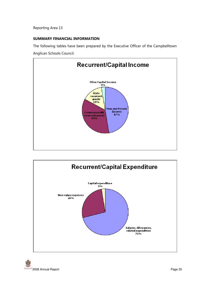#### SUMMARY FINANCIAL INFORMATION

The following tables have been prepared by the Executive Officer of the Campbelltown Anglican Schools Council.



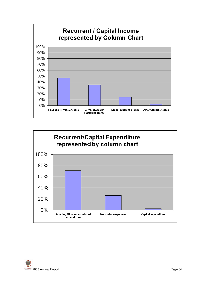



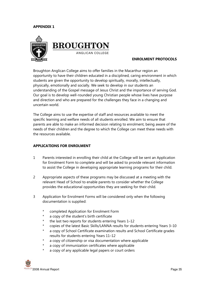#### APPENDIX 1



#### ENROLMENT PROTOCOLS

Broughton Anglican College aims to offer families in the Macarthur region an opportunity to have their children educated in a disciplined, caring environment in which students are given the opportunity to develop spiritually, morally, intellectually, physically, emotionally and socially. We seek to develop in our students an understanding of the Gospel message of Jesus Christ and the importance of serving God. Our goal is to develop well-rounded young Christian people whose lives have purpose and direction and who are prepared for the challenges they face in a changing and uncertain world.

The College aims to use the expertise of staff and resources available to meet the specific learning and welfare needs of all students enrolled. We aim to ensure that parents are able to make an informed decision relating to enrolment, being aware of the needs of their children and the degree to which the College can meet these needs with the resources available.

#### APPLICATIONS FOR ENROLMENT

- 1 Parents interested in enrolling their child at the College will be sent an Application for Enrolment Form to complete and will be asked to provide relevant information to assist the College in developing appropriate learning programs for their child.
- 2 Appropriate aspects of these programs may be discussed at a meeting with the relevant Head of School to enable parents to consider whether the College provides the educational opportunities they are seeking for their child.
- 3 Application for Enrolment Forms will be considered only when the following documentation is supplied:
	- completed Application for Enrolment Form
	- a copy of the student's birth certificate
	- the last two reports for students entering Years 1–12
	- copies of the latest Basic Skills/LANNA results for students entering Years 3–10
	- a copy of School Certificate examination results and School Certificate grades results for students entering Years 11–12
	- \* a copy of citizenship or visa documentation where applicable
	- a copy of immunization certificates where applicable
	- a copy of any applicable legal papers or court orders

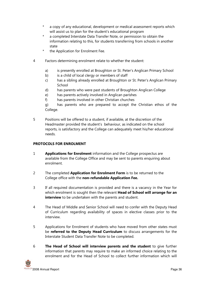- a copy of any educational, development or medical assessment reports which will assist us to plan for the student's educational program
- a completed Interstate Data Transfer Note, or permission to obtain the information relating to this, for students transferring from schools in another state
- the Application for Enrolment Fee.
- 4 Factors determining enrolment relate to whether the student:
	- a) is presently enrolled at Broughton or St. Peter's Anglican Primary School
	- b) is a child of local clergy or members of staff
	- c) has a sibling already enrolled at Broughton or St. Peter's Anglican Primary School
	- d) has parents who were past students of Broughton Anglican College
	- e) has parents actively involved in Anglican parishes
	- f) has parents involved in other Christian churches

g) has parents who are prepared to accept the Christian ethos of the College.

5 Positions will be offered to a student, if available, at the discretion of the Headmaster provided the student's behaviour, as indicated on the school reports, is satisfactory and the College can adequately meet his/her educational needs.

#### PROTOCOLS FOR ENROLMENT

- 1 **Applications for Enrolment** information and the College prospectus are available from the College Office and may be sent to parents enquiring about enrolment.
- 2 The completed **Application for Enrolment Form** is to be returned to the College office with the non-refundable Application Fee.
- 3 If all required documentation is provided and there is a vacancy in the Year for which enrolment is sought then the relevant Head of School will arrange for an interview to be undertaken with the parents and student.
- 4 The Head of Middle and Senior School will need to confer with the Deputy Head of Curriculum regarding availability of spaces in elective classes prior to the interview.
- 5 Applications for Enrolment of students who have moved from other states must be referred to the Deputy Head Curriculum to discuss arrangements for the Interstate Student Data Transfer Note to be completed.
- 6 The Head of School will interview parents and the student to give further information that parents may require to make an informed choice relating to the enrolment and for the Head of School to collect further information which will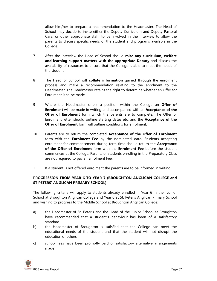allow him/her to prepare a recommendation to the Headmaster. The Head of School may decide to invite either the Deputy Curriculum and Deputy Pastoral Care, or other appropriate staff, to be involved in the interview to allow the parents to discuss specific needs of the student and programs available in the College.

- 7 After the interview the Head of School should raise any curriculum, welfare and learning support matters with the appropriate Deputy and discuss the availability of resources to ensure that the College is able to meet the needs of the student.
- 8 The Head of School will **collate information** gained through the enrolment process and make a recommendation relating to the enrolment to the Headmaster. The Headmaster retains the right to determine whether an Offer for Enrolment is to be made.
- 9 Where the Headmaster offers a position within the College an **Offer of Enrolment** will be made in writing and accompanied with an **Acceptance of the Offer of Enrolment** form which the parents are to complete. The Offer of Enrolment letter should outline starting dates etc. and the Acceptance of the **Offer of Enrolment** form will outline conditions for enrolment.
- 10 Parents are to return the completed **Acceptance of the Offer of Enrolment** form with the **Enrolment Fee** by the nominated date. Students accepting enrolment for commencement during term time should return the **Acceptance** of the Offer of Enrolment form with the Enrolment Fee before the student commences at the College. Parents of students enrolling in the Preparatory Class are not required to pay an Enrolment Fee.
- 11 If a student is not offered enrolment the parents are to be informed in writing.

#### PROGRESSION FROM YEAR 6 TO YEAR 7 (BROUGHTON ANGLICAN COLLEGE and ST PETERS' ANGLICAN PRIMARY SCHOOL)

The following criteria will apply to students already enrolled in Year 6 in the Junior School at Broughton Anglican College and Year 6 at St. Peter's Anglican Primary School and wishing to progress to the Middle School at Broughton Anglican College:

- a) the Headmaster of St. Peter's and the Head of the Junior School at Broughton have recommended that a student's behaviour has been of a satisfactory standard
- b) the Headmaster of Broughton is satisfied that the College can meet the educational needs of the student and that the student will not disrupt the education of others
- c) school fees have been promptly paid or satisfactory alternative arrangements made

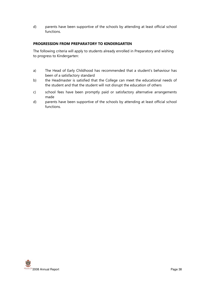d) parents have been supportive of the schools by attending at least official school functions.

#### PROGRESSION FROM PREPARATORY TO KINDERGARTEN

The following criteria will apply to students already enrolled in Preparatory and wishing to progress to Kindergarten:

- a) The Head of Early Childhood has recommended that a student's behaviour has been of a satisfactory standard
- b) the Headmaster is satisfied that the College can meet the educational needs of the student and that the student will not disrupt the education of others
- c) school fees have been promptly paid or satisfactory alternative arrangements made
- d) parents have been supportive of the schools by attending at least official school functions.

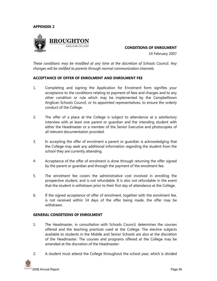#### APPENDIX 2



CONDITIONS OF ENROLMENT

14 February 2007

These conditions may be modified at any time at the discretion of Schools Council. Any changes will be notified to parents through normal communication channels.

#### ACCEPTANCE OF OFFER OF ENROLMENT AND ENROLMENT FEE

- 1. Completing and signing the Application for Enrolment form signifies your acceptance to the conditions relating to payment of fees and charges and to any other condition or rule which may be implemented by the Campbelltown Anglican Schools Council, or its appointed representatives, to ensure the orderly conduct of the College.
- 2. The offer of a place at the College is subject to attendance at a satisfactory interview with at least one parent or guardian and the intending student with either the Headmaster or a member of the Senior Executive and photocopies of all relevant documentation provided.
- 3. In accepting the offer of enrolment a parent or guardian is acknowledging that the College may seek any additional information regarding the student from the school they are currently attending.
- 4. Acceptance of the offer of enrolment is done through returning the offer signed by the parent or guardian and through the payment of the enrolment fee.
- 5. The enrolment fee covers the administrative cost involved in enrolling the prospective student, and is not refundable. It is also not refundable in the event that the student is withdrawn prior to their first day of attendance at the College.
- 6. If the signed acceptance of offer of enrolment, together with the enrolment fee, is not received within 14 days of the offer being made, the offer may be withdrawn.

#### GENERAL CONDITIONS OF ENROLMENT

- 1. The Headmaster, in consultation with Schools Council, determines the courses offered and the teaching practices used at the College. The elective subjects available to students in the Middle and Senior Schools are also at the discretion of the Headmaster. The courses and programs offered at the College may be amended at the discretion of the Headmaster.
- 2. A student must attend the College throughout the school year, which is divided

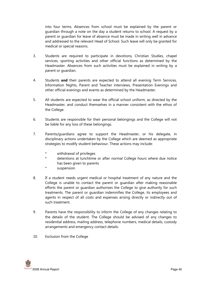into four terms. Absences from school must be explained by the parent or guardian through a note on the day a student returns to school. A request by a parent or guardian for leave of absence must be made in writing well in advance and addressed to the relevant Head of School. Such leave will only be granted for medical or special reasons.

- 3. Students are required to participate in devotions, Christian Studies, chapel services, sporting activities and other official functions as determined by the Headmaster. Absences from such activities must be explained in writing by a parent or guardian.
- 4. Students **and** their parents are expected to attend all evening Term Services, Information Nights, Parent and Teacher interviews, Presentation Evenings and other official evenings and events as determined by the Headmaster.
- 5. All students are expected to wear the official school uniform, as directed by the Headmaster, and conduct themselves in a manner consistent with the ethos of the College.
- 6. Students are responsible for their personal belongings and the College will not be liable for any loss of these belongings.
- 7. Parents/guardians agree to support the Headmaster, or his delegate, in disciplinary actions undertaken by the College which are deemed as appropriate strategies to modify student behaviour. These actions may include:
	- \* withdrawal of privileges
	- \* detentions at lunchtime or after normal College hours where due notice has been given to parents
	- suspension
- 8. If a student needs urgent medical or hospital treatment of any nature and the College is unable to contact the parent or guardian after making reasonable efforts the parent or guardian authorises the College to give authority for such treatments. The parent or guardian indemnifies the College, its employees and agents in respect of all costs and expenses arising directly or indirectly out of such treatment.
- 9. Parents have the responsibility to inform the College of any changes relating to the details of the student. The College should be advised of any changes to residential address, mailing address, telephone numbers, medical details, custody arrangements and emergency contact details.
- 10. Exclusion from the College